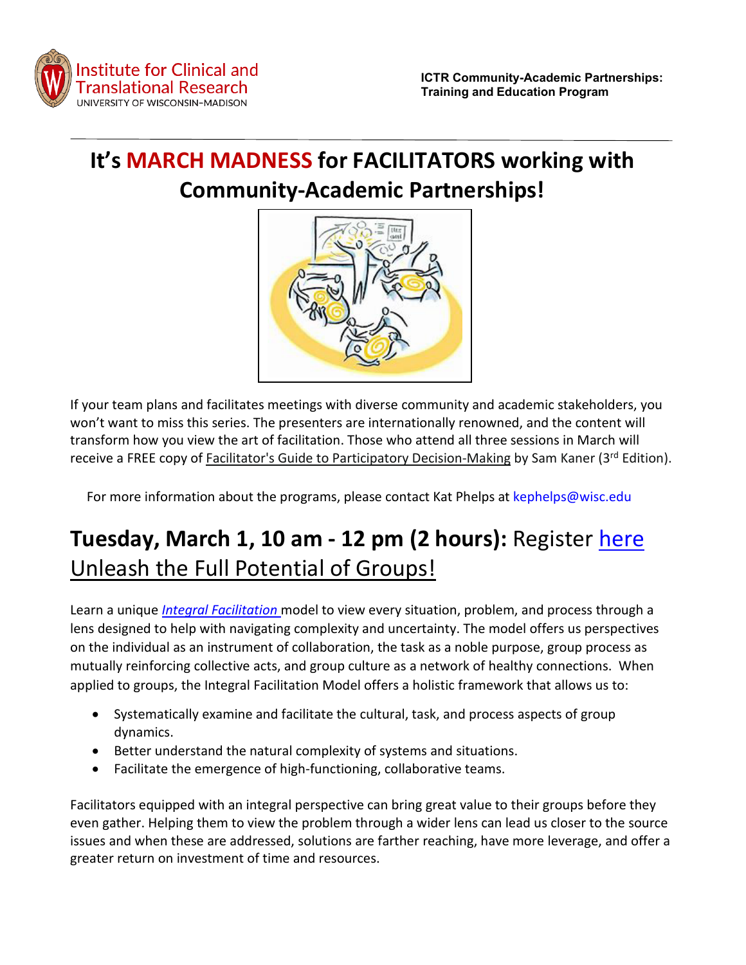

# **It's MARCH MADNESS for FACILITATORS working with Community-Academic Partnerships!**



If your team plans and facilitates meetings with diverse community and academic stakeholders, you won't want to miss this series. The presenters are internationally renowned, and the content will transform how you view the art of facilitation. Those who attend all three sessions in March will receive a FREE copy of Facilitator's Guide to Participatory Decision-Making by Sam Kaner (3rd Edition).

For more information about the programs, please contact Kat Phelps at [kephelps@wisc.edu](mailto:kephelps@wisc.edu)

# **Tuesday, March 1, 10 am - 12 pm (2 hours):** Register [here](https://uwmadison.zoom.us/meeting/register/tJ0kcOChqDIuE9aB71nljrcKCAoRPI5jnkGb) Unleash the Full Potential of Groups!

Learn a unique *[Integral Facilitation](https://www.journeyofcollaboration.com/integral-facilitation/)* model to view every situation, problem, and process through a lens designed to help with navigating complexity and uncertainty. The model offers us perspectives on the individual as an instrument of collaboration, the task as a noble purpose, group process as mutually reinforcing collective acts, and group culture as a network of healthy connections. When applied to groups, the Integral Facilitation Model offers a holistic framework that allows us to:

- Systematically examine and facilitate the cultural, task, and process aspects of group dynamics.
- Better understand the natural complexity of systems and situations.
- Facilitate the emergence of high-functioning, collaborative teams.

Facilitators equipped with an integral perspective can bring great value to their groups before they even gather. Helping them to view the problem through a wider lens can lead us closer to the source issues and when these are addressed, solutions are farther reaching, have more leverage, and offer a greater return on investment of time and resources.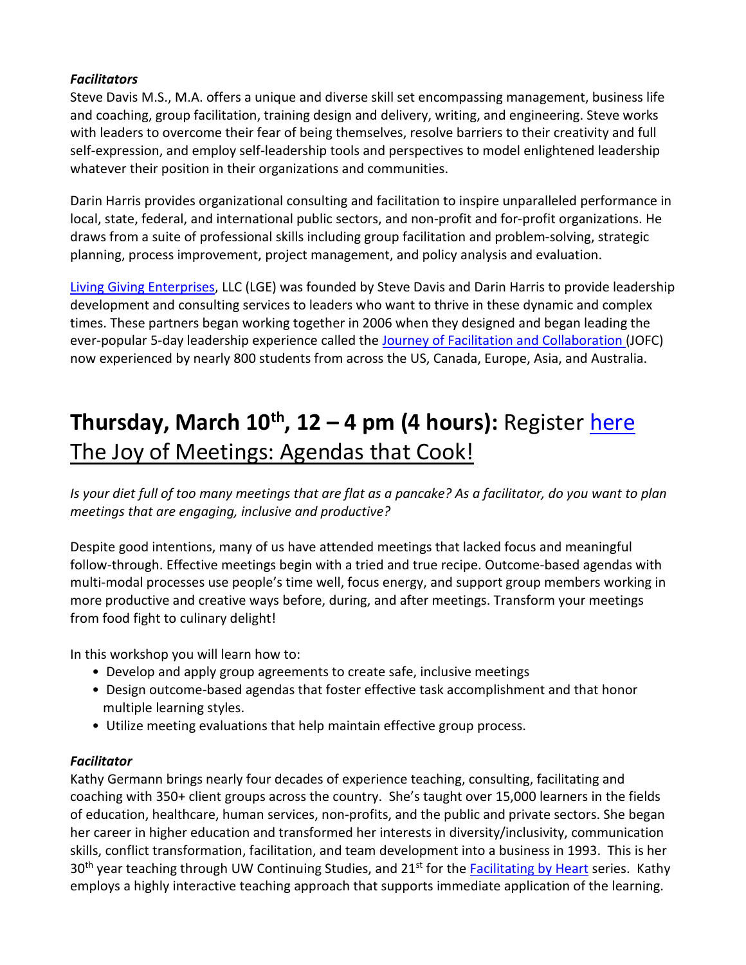#### *Facilitators*

Steve Davis M.S., M.A. offers a unique and diverse skill set encompassing management, business life and coaching, group facilitation, training design and delivery, writing, and engineering. Steve works with leaders to overcome their fear of being themselves, resolve barriers to their creativity and full self-expression, and employ self-leadership tools and perspectives to model enlightened leadership whatever their position in their organizations and communities.

Darin Harris provides organizational consulting and facilitation to inspire unparalleled performance in local, state, federal, and international public sectors, and non-profit and for-profit organizations. He draws from a suite of professional skills including group facilitation and problem-solving, strategic planning, process improvement, project management, and policy analysis and evaluation.

[Living Giving Enterprises,](https://www.journeyofcollaboration.com/) LLC (LGE) was founded by Steve Davis and Darin Harris to provide leadership development and consulting services to leaders who want to thrive in these dynamic and complex times. These partners began working together in 2006 when they designed and began leading the ever-popular 5-day leadership experience called the [Journey of Facilitation and Collaboration](https://www.journeyofcollaboration.com/training-events/facilitation-training/) (JOFC) now experienced by nearly 800 students from across the US, Canada, Europe, Asia, and Australia.

# **Thursday, March 10<sup>th</sup>, 12 – 4 pm (4 hours): Register [here](https://uwmadison.zoom.us/meeting/register/tJ0kdO6srjktH9XskQsldHvLuag3IgshNC0G)** The Joy of Meetings: Agendas that Cook!

*Is your diet full of too many meetings that are flat as a pancake? As a facilitator, do you want to plan meetings that are engaging, inclusive and productive?*

Despite good intentions, many of us have attended meetings that lacked focus and meaningful follow-through. Effective meetings begin with a tried and true recipe. Outcome-based agendas with multi-modal processes use people's time well, focus energy, and support group members working in more productive and creative ways before, during, and after meetings. Transform your meetings from food fight to culinary delight!

In this workshop you will learn how to:

- Develop and apply group agreements to create safe, inclusive meetings
- Design outcome-based agendas that foster effective task accomplishment and that honor multiple learning styles.
- Utilize meeting evaluations that help maintain effective group process.

### *Facilitator*

Kathy Germann brings nearly four decades of experience teaching, consulting, facilitating and coaching with 350+ client groups across the country. She's taught over 15,000 learners in the fields of education, healthcare, human services, non-profits, and the public and private sectors. She began her career in higher education and transformed her interests in diversity/inclusivity, communication skills, conflict transformation, facilitation, and team development into a business in 1993. This is her  $30<sup>th</sup>$  year teaching through UW Continuing Studies, and 21st for th[e Facilitating by Heart](https://continuingstudies.wisc.edu/classes/facilitating-by-heart/) series. Kathy employs a highly interactive teaching approach that supports immediate application of the learning.